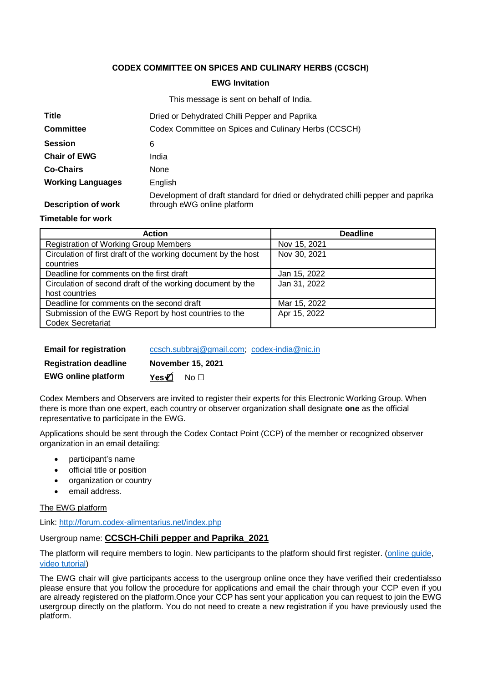### **CODEX COMMITTEE ON SPICES AND CULINARY HERBS (CCSCH)**

# **EWG Invitation** This message is sent on behalf of India

|                            | <b>THIS INCODED</b> IS SONG TO DETERMINE THE STATE OF THE SET OF THE SET OF THE SET OF THE SET OF THE SET OF THE SET O |
|----------------------------|------------------------------------------------------------------------------------------------------------------------|
| Title                      | Dried or Dehydrated Chilli Pepper and Paprika                                                                          |
| <b>Committee</b>           | Codex Committee on Spices and Culinary Herbs (CCSCH)                                                                   |
| <b>Session</b>             | 6                                                                                                                      |
| <b>Chair of EWG</b>        | India                                                                                                                  |
| <b>Co-Chairs</b>           | None                                                                                                                   |
| <b>Working Languages</b>   | English                                                                                                                |
| <b>Description of work</b> | Development of draft standard for dried or dehydrated chilli pepper and paprika<br>through eWG online platform         |

#### **Timetable for work**

| <b>Action</b>                                                  | <b>Deadline</b> |
|----------------------------------------------------------------|-----------------|
| <b>Registration of Working Group Members</b>                   | Nov 15, 2021    |
| Circulation of first draft of the working document by the host | Nov 30, 2021    |
| countries                                                      |                 |
| Deadline for comments on the first draft                       | Jan 15, 2022    |
| Circulation of second draft of the working document by the     | Jan 31, 2022    |
| host countries                                                 |                 |
| Deadline for comments on the second draft                      | Mar 15, 2022    |
| Submission of the EWG Report by host countries to the          | Apr 15, 2022    |
| <b>Codex Secretariat</b>                                       |                 |

**Email for registration** [ccsch.subbraj@gmail.com;](mailto:ccsch.subbraj@gmail.com) [codex-india@nic.in](mailto:codex-india@nic.in) **Registration deadline November 15, 2021**

| Registration deadline      | <b>NOVEHIDEL 19.</b> |                 |
|----------------------------|----------------------|-----------------|
| <b>EWG online platform</b> | Yes⊄                 | No <sub>1</sub> |

Codex Members and Observers are invited to register their experts for this Electronic Working Group. When there is more than one expert, each country or observer organization shall designate **one** as the official representative to participate in the EWG.

Applications should be sent through the Codex Contact Point (CCP) of the member or recognized observer organization in an email detailing:

- participant's name
- official title or position
- organization or country
- email address.

#### The EWG platform

Link:<http://forum.codex-alimentarius.net/index.php>

### Usergroup name: **CCSCH-Chili pepper and Paprika\_2021**

The platform will require members to login. New participants to the platform should first register. [\(online guide,](http://forum.codex-alimentarius.net/viewtopic.php?f=13&t=11) [video tutorial\)](https://youtu.be/EJn9k7wNSwk)

The EWG chair will give participants access to the usergroup online once they have verified their credentialsso please ensure that you follow the procedure for applications and email the chair through your CCP even if you are already registered on the platform.Once your CCP has sent your application you can request to join the EWG usergroup directly on the platform. You do not need to create a new registration if you have previously used the platform.